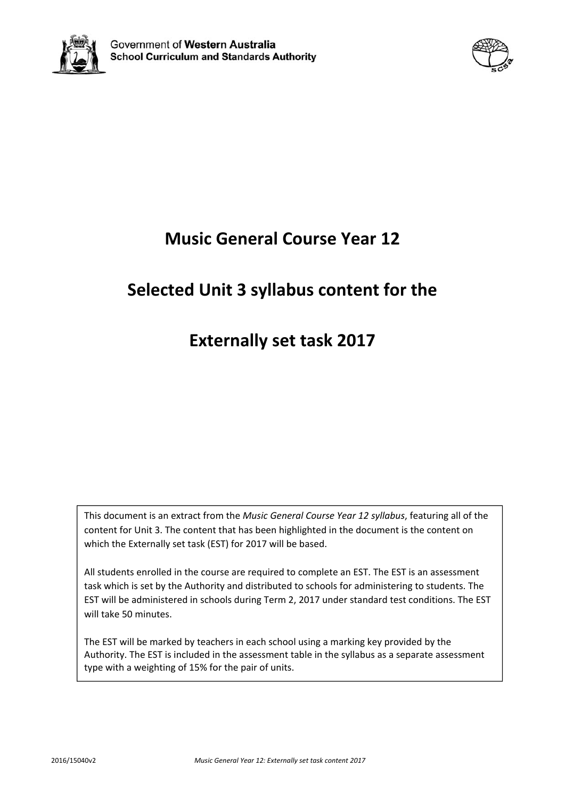



# **Music General Course Year 12**

# **Selected Unit 3 syllabus content for the**

# **Externally set task 2017**

This document is an extract from the *Music General Course Year 12 syllabus*, featuring all of the content for Unit 3. The content that has been highlighted in the document is the content on which the Externally set task (EST) for 2017 will be based.

All students enrolled in the course are required to complete an EST. The EST is an assessment task which is set by the Authority and distributed to schools for administering to students. The EST will be administered in schools during Term 2, 2017 under standard test conditions. The EST will take 50 minutes.

The EST will be marked by teachers in each school using a marking key provided by the Authority. The EST is included in the assessment table in the syllabus as a separate assessment type with a weighting of 15% for the pair of units.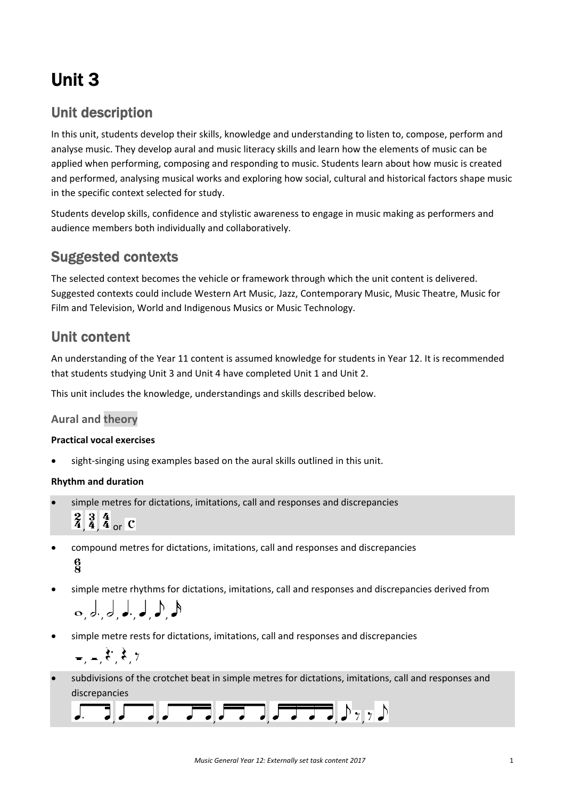# Unit 3

# Unit description

In this unit, students develop their skills, knowledge and understanding to listen to, compose, perform and analyse music. They develop aural and music literacy skills and learn how the elements of music can be applied when performing, composing and responding to music. Students learn about how music is created and performed, analysing musical works and exploring how social, cultural and historical factors shape music in the specific context selected for study.

Students develop skills, confidence and stylistic awareness to engage in music making as performers and audience members both individually and collaboratively.

## Suggested contexts

The selected context becomes the vehicle or framework through which the unit content is delivered. Suggested contexts could include Western Art Music, Jazz, Contemporary Music, Music Theatre, Music for Film and Television, World and Indigenous Musics or Music Technology.

## Unit content

An understanding of the Year 11 content is assumed knowledge for students in Year 12. It is recommended that students studying Unit 3 and Unit 4 have completed Unit 1 and Unit 2.

This unit includes the knowledge, understandings and skills described below.

## **Aural and theory**

### **Practical vocal exercises**

sight-singing using examples based on the aural skills outlined in this unit.

### **Rhythm and duration**

simple metres for dictations, imitations, call and responses and discrepancies

 $\frac{2}{4}$ ,  $\frac{3}{4}$ ,  $\frac{4}{4}$  or  $\overline{C}$ 

- compound metres for dictations, imitations, call and responses and discrepancies  $\frac{6}{2}$
- simple metre rhythms for dictations, imitations, call and responses and discrepancies derived from , ,, ,, ,
- simple metre rests for dictations, imitations, call and responses and discrepancies

$$
=,-, \xi^*, \xi, \gamma
$$

 subdivisions of the crotchet beat in simple metres for dictations, imitations, call and responses and discrepancies

|  |  |  | $\begin{bmatrix} 1 & 1 \\ 1 & 1 \end{bmatrix}, \begin{bmatrix} 1 & 1 \\ 1 & 1 \end{bmatrix}, \begin{bmatrix} 1 & 1 \\ 1 & 1 \end{bmatrix}, \begin{bmatrix} 1 & 1 \\ 1 & 1 \end{bmatrix}, \begin{bmatrix} 1 & 1 \\ 1 & 1 \end{bmatrix}, \begin{bmatrix} 1 & 1 \\ 1 & 1 \end{bmatrix}, \begin{bmatrix} 1 & 1 \\ 1 & 1 \end{bmatrix}, \begin{bmatrix} 1 & 1 \\ 1 & 1 \end{bmatrix}, \begin{bmatrix} 1 & 1 \\ 1 & 1 \end{bmatrix}, \begin{bmatrix} 1 & 1 \\ $ |  |
|--|--|--|-----------------------------------------------------------------------------------------------------------------------------------------------------------------------------------------------------------------------------------------------------------------------------------------------------------------------------------------------------------------------------------------------------------------------------------------------------------|--|
|  |  |  |                                                                                                                                                                                                                                                                                                                                                                                                                                                           |  |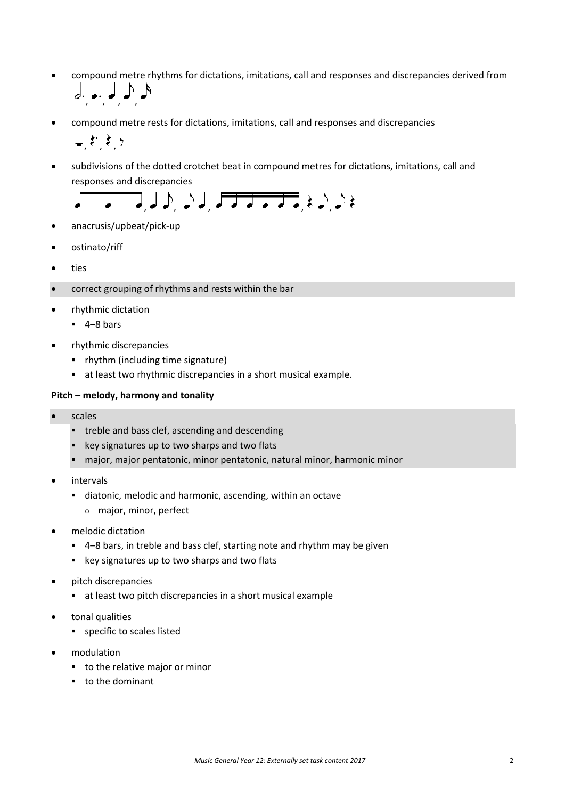- compound metre rhythms for dictations, imitations, call and responses and discrepancies derived from  $\downarrow$ ,  $\downarrow$ ,  $\downarrow$ ,  $\uparrow$
- compound metre rests for dictations, imitations, call and responses and discrepancies

 $\zeta$   $\zeta$   $\gamma$ 

 subdivisions of the dotted crotchet beat in compound metres for dictations, imitations, call and responses and discrepancies



- anacrusis/upbeat/pick‐up
- ostinato/riff
- ties
- correct grouping of rhythms and rests within the bar
- rhythmic dictation
	- $-4-8$  bars
- rhythmic discrepancies
	- rhythm (including time signature)
	- at least two rhythmic discrepancies in a short musical example.

#### **Pitch – melody, harmony and tonality**

- scales
	- **treble and bass clef, ascending and descending**
	- **EXEX** key signatures up to two sharps and two flats
	- major, major pentatonic, minor pentatonic, natural minor, harmonic minor
- intervals
	- diatonic, melodic and harmonic, ascending, within an octave
		- o major, minor, perfect
- melodic dictation
	- 4–8 bars, in treble and bass clef, starting note and rhythm may be given
	- key signatures up to two sharps and two flats
- pitch discrepancies
	- at least two pitch discrepancies in a short musical example
- tonal qualities
	- **specific to scales listed**
- modulation
	- **to the relative major or minor**
	- to the dominant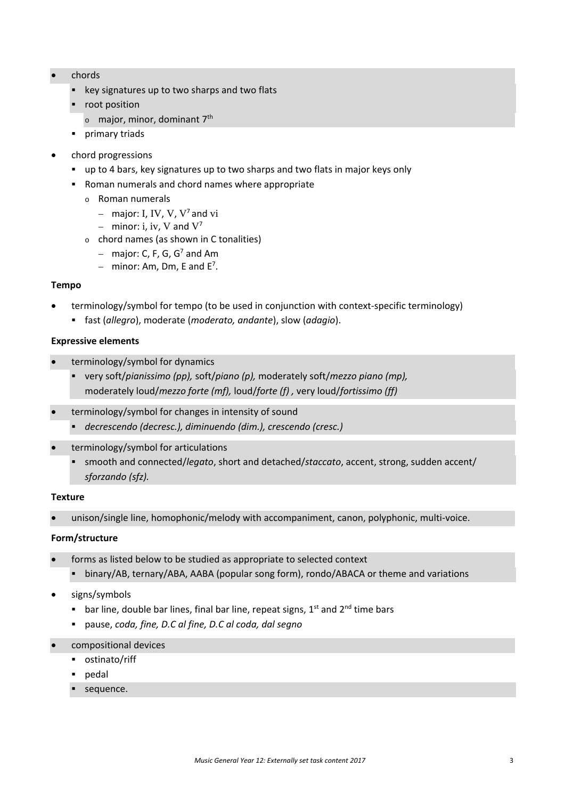- chords
	- **EXECT:** key signatures up to two sharps and two flats
	- **•** root position
		- <sup>o</sup> major, minor, dominant 7th
	- **primary triads**
- chord progressions
	- up to 4 bars, key signatures up to two sharps and two flats in major keys only
	- Roman numerals and chord names where appropriate
		- o Roman numerals
			- major: I, IV, V,  $V^7$  and vi
			- minor: i, iv, V and  $V^7$
		- $\circ$  chord names (as shown in C tonalities)
			- major: C, F, G,  $G<sup>7</sup>$  and Am
			- $-$  minor: Am, Dm, E and E<sup>7</sup>.

#### **Tempo**

- terminology/symbol for tempo (to be used in conjunction with context‐specific terminology)
	- fast (*allegro*), moderate (*moderato, andante*), slow (*adagio*).

#### **Expressive elements**

- terminology/symbol for dynamics
	- very soft/*pianissimo (pp),* soft/*piano (p),* moderately soft/*mezzo piano (mp),*  moderately loud/*mezzo forte (mf),* loud/*forte (f) ,* very loud/*fortissimo (ff)*
- terminology/symbol for changes in intensity of sound
	- *decrescendo (decresc.), diminuendo (dim.), crescendo (cresc.)*
- terminology/symbol for articulations
	- smooth and connected/*legato*, short and detached/*staccato*, accent, strong, sudden accent/ *sforzando (sfz).*

#### **Texture**

unison/single line, homophonic/melody with accompaniment, canon, polyphonic, multi-voice.

#### **Form/structure**

- forms as listed below to be studied as appropriate to selected context
	- binary/AB, ternary/ABA, AABA (popular song form), rondo/ABACA or theme and variations

#### signs/symbols

- **bar line, double bar lines, final bar line, repeat signs,**  $1<sup>st</sup>$  **and**  $2<sup>nd</sup>$  **time bars**
- pause, *coda, fine, D.C al fine, D.C al coda, dal segno*
- compositional devices
	- ostinato/riff
	- pedal
	- sequence.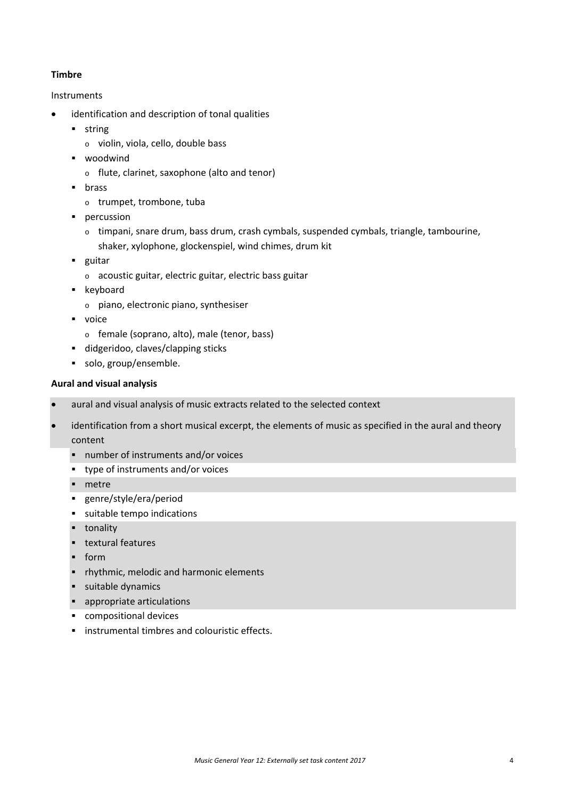#### **Timbre**

#### Instruments

- identification and description of tonal qualities
	- **string** 
		- o violin, viola, cello, double bass
	- woodwind
		- o flute, clarinet, saxophone (alto and tenor)
	- **u** brass
		- o trumpet, trombone, tuba
	- **percussion** 
		- o timpani, snare drum, bass drum, crash cymbals, suspended cymbals, triangle, tambourine, shaker, xylophone, glockenspiel, wind chimes, drum kit
	- **guitar** 
		- o acoustic guitar, electric guitar, electric bass guitar
	- **Executor** 
		- o piano, electronic piano, synthesiser
	- voice
		- o female (soprano, alto), male (tenor, bass)
	- didgeridoo, claves/clapping sticks
	- solo, group/ensemble.

#### **Aural and visual analysis**

- aural and visual analysis of music extracts related to the selected context
- identification from a short musical excerpt, the elements of music as specified in the aural and theory content
	- number of instruments and/or voices
	- type of instruments and/or voices
	- **netre**
	- genre/style/era/period
	- suitable tempo indications
	- **-** tonality
	- **textural features**
	- $form$
	- **•** rhythmic, melodic and harmonic elements
	- **suitable dynamics**
	- appropriate articulations
	- compositional devices
	- **EXECUTE:** instrumental timbres and colouristic effects.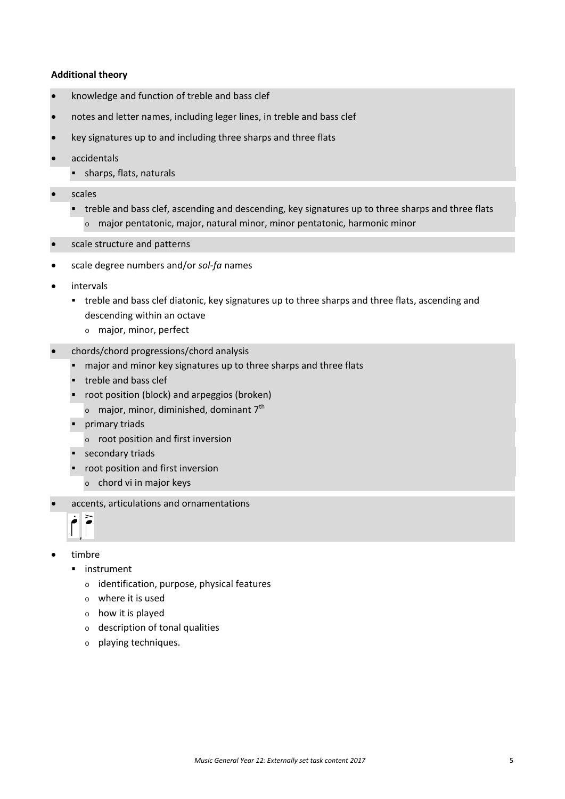#### **Additional theory**

- knowledge and function of treble and bass clef
- notes and letter names, including leger lines, in treble and bass clef
- key signatures up to and including three sharps and three flats
- accidentals
	- **sharps, flats, naturals**
- scales
	- **that** treble and bass clef, ascending and descending, key signatures up to three sharps and three flats o major pentatonic, major, natural minor, minor pentatonic, harmonic minor
- scale structure and patterns
- scale degree numbers and/or *sol‐fa* names
- intervals
	- treble and bass clef diatonic, key signatures up to three sharps and three flats, ascending and descending within an octave
		- o major, minor, perfect
- chords/chord progressions/chord analysis
	- major and minor key signatures up to three sharps and three flats
	- **treble and bass clef**
	- **•** root position (block) and arpeggios (broken)
		- $\circ$  major, minor, diminished, dominant 7<sup>th</sup>
	- **Primary triads** 
		- o root position and first inversion
	- **secondary triads**
	- **•** root position and first inversion
		- o chord vi in major keys
- accents, articulations and ornamentations



- timbre
	- **·** instrument
		- o identification, purpose, physical features
		- o where it is used
		- o how it is played
		- o description of tonal qualities
		- o playing techniques.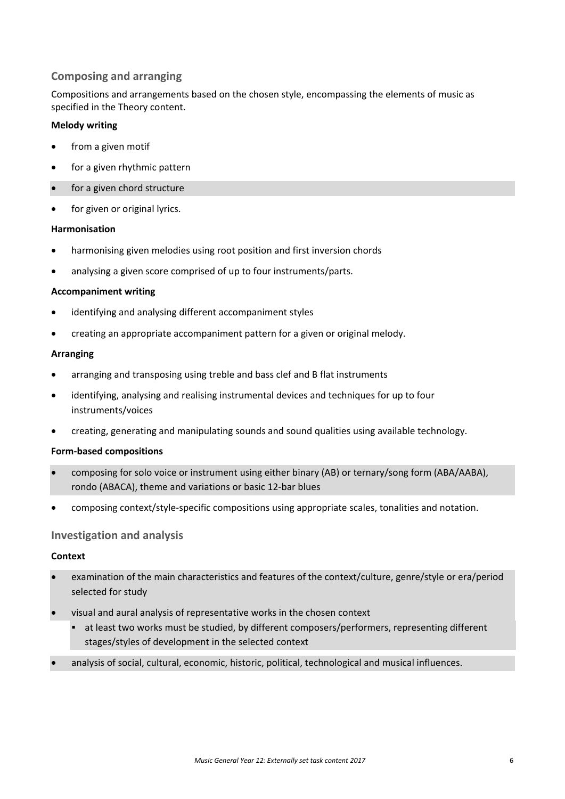### **Composing and arranging**

Compositions and arrangements based on the chosen style, encompassing the elements of music as specified in the Theory content.

#### **Melody writing**

- from a given motif
- for a given rhythmic pattern
- for a given chord structure
- for given or original lyrics.

#### **Harmonisation**

- harmonising given melodies using root position and first inversion chords
- analysing a given score comprised of up to four instruments/parts.

#### **Accompaniment writing**

- identifying and analysing different accompaniment styles
- creating an appropriate accompaniment pattern for a given or original melody.

#### **Arranging**

- arranging and transposing using treble and bass clef and B flat instruments
- identifying, analysing and realising instrumental devices and techniques for up to four instruments/voices
- creating, generating and manipulating sounds and sound qualities using available technology.

#### **Form‐based compositions**

- composing for solo voice or instrument using either binary (AB) or ternary/song form (ABA/AABA), rondo (ABACA), theme and variations or basic 12‐bar blues
- composing context/style‐specific compositions using appropriate scales, tonalities and notation.

#### **Investigation and analysis**

#### **Context**

- examination of the main characteristics and features of the context/culture, genre/style or era/period selected for study
- visual and aural analysis of representative works in the chosen context
	- at least two works must be studied, by different composers/performers, representing different stages/styles of development in the selected context
- analysis of social, cultural, economic, historic, political, technological and musical influences.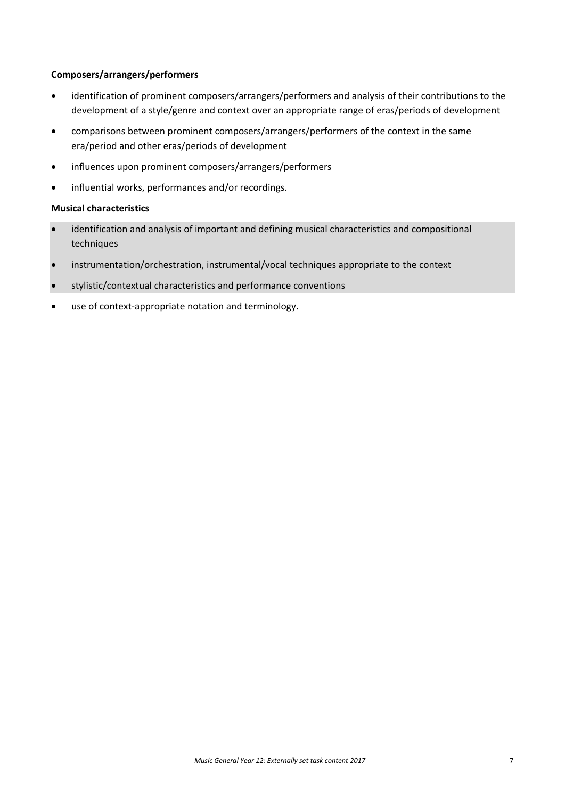#### **Composers/arrangers/performers**

- identification of prominent composers/arrangers/performers and analysis of their contributions to the development of a style/genre and context over an appropriate range of eras/periods of development
- comparisons between prominent composers/arrangers/performers of the context in the same era/period and other eras/periods of development
- influences upon prominent composers/arrangers/performers
- influential works, performances and/or recordings.

#### **Musical characteristics**

- identification and analysis of important and defining musical characteristics and compositional techniques
- instrumentation/orchestration, instrumental/vocal techniques appropriate to the context
- stylistic/contextual characteristics and performance conventions
- use of context‐appropriate notation and terminology.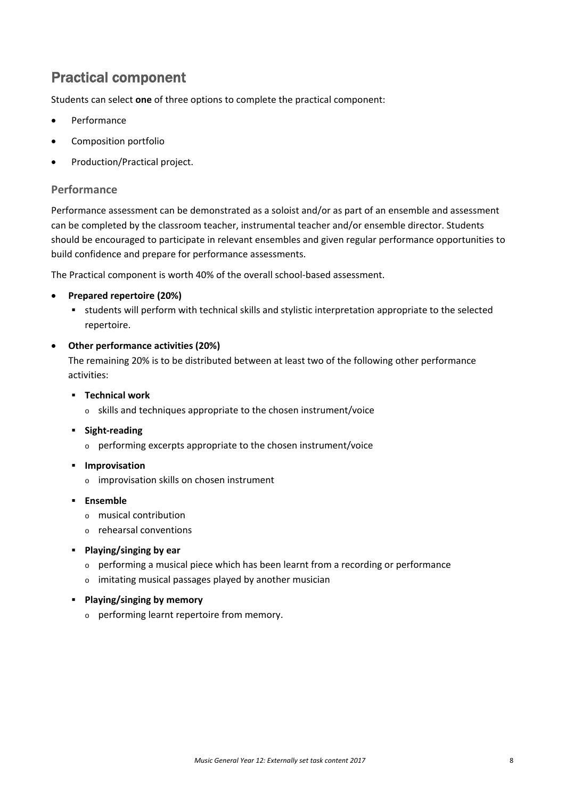## Practical component

Students can select **one** of three options to complete the practical component:

- Performance
- Composition portfolio
- Production/Practical project.

#### **Performance**

Performance assessment can be demonstrated as a soloist and/or as part of an ensemble and assessment can be completed by the classroom teacher, instrumental teacher and/or ensemble director. Students should be encouraged to participate in relevant ensembles and given regular performance opportunities to build confidence and prepare for performance assessments.

The Practical component is worth 40% of the overall school‐based assessment.

#### **Prepared repertoire (20%)**

 students will perform with technical skills and stylistic interpretation appropriate to the selected repertoire.

#### **Other performance activities (20%)**

The remaining 20% is to be distributed between at least two of the following other performance activities:

- **Technical work**
	- o skills and techniques appropriate to the chosen instrument/voice
- **Sight‐reading**
	- o performing excerpts appropriate to the chosen instrument/voice
- $\blacksquare$  Improvisation
	- o improvisation skills on chosen instrument
- **Ensemble**
	- o musical contribution
	- o rehearsal conventions
- **Playing/singing by ear**
	- o performing a musical piece which has been learnt from a recording or performance
	- o imitating musical passages played by another musician
- **Playing/singing by memory**
	- o performing learnt repertoire from memory.